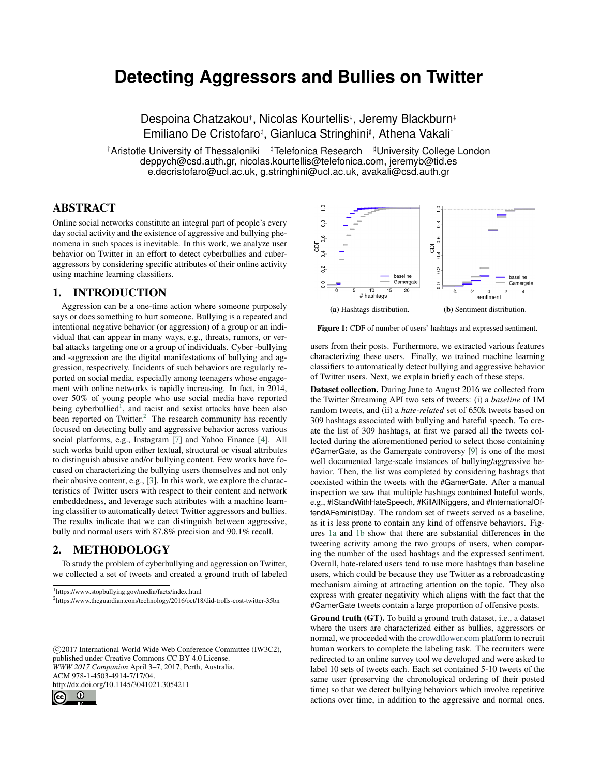# **Detecting Aggressors and Bullies on Twitter**

Despoina Chatzakou† , Nicolas Kourtellis‡ , Jeremy Blackburn‡ Emiliano De Cristofaro<sup>‡</sup>, Gianluca Stringhini<sup>‡</sup>, Athena Vakali<sup>†</sup>

<sup>†</sup>Aristotle University of Thessaloniki <sup>‡</sup>Telefonica Research <sup>#</sup>University College London deppych@csd.auth.gr, nicolas.kourtellis@telefonica.com, jeremyb@tid.es e.decristofaro@ucl.ac.uk, g.stringhini@ucl.ac.uk, avakali@csd.auth.gr

# ABSTRACT

Online social networks constitute an integral part of people's every day social activity and the existence of aggressive and bullying phenomena in such spaces is inevitable. In this work, we analyze user behavior on Twitter in an effort to detect cyberbullies and cuberaggressors by considering specific attributes of their online activity using machine learning classifiers.

### 1. INTRODUCTION

Aggression can be a one-time action where someone purposely says or does something to hurt someone. Bullying is a repeated and intentional negative behavior (or aggression) of a group or an individual that can appear in many ways, e.g., threats, rumors, or verbal attacks targeting one or a group of individuals. Cyber -bullying and -aggression are the digital manifestations of bullying and aggression, respectively. Incidents of such behaviors are regularly reported on social media, especially among teenagers whose engagement with online networks is rapidly increasing. In fact, in 2014, over 50% of young people who use social media have reported being cyberbullied<sup>[1](#page-0-0)</sup>, and racist and sexist attacks have been also been reported on Twitter. $2$  The research community has recently focused on detecting bully and aggressive behavior across various social platforms, e.g., Instagram [\[7\]](#page-1-0) and Yahoo Finance [\[4\]](#page-1-1). All such works build upon either textual, structural or visual attributes to distinguish abusive and/or bullying content. Few works have focused on characterizing the bullying users themselves and not only their abusive content, e.g., [\[3\]](#page-1-2). In this work, we explore the characteristics of Twitter users with respect to their content and network embeddedness, and leverage such attributes with a machine learning classifier to automatically detect Twitter aggressors and bullies. The results indicate that we can distinguish between aggressive, bully and normal users with 87.8% precision and 90.1% recall.

# 2. METHODOLOGY

To study the problem of cyberbullying and aggression on Twitter, we collected a set of tweets and created a ground truth of labeled

<span id="page-0-0"></span>1 https://www.stopbullying.gov/media/facts/index.html

 c 2017 International World Wide Web Conference Committee (IW3C2), published under Creative Commons CC BY 4.0 License. *WWW 2017 Companion* April 3–7, 2017, Perth, Australia. ACM 978-1-4503-4914-7/17/04. http://dx.doi.org/10.1145/3041021.3054211



.

<span id="page-0-2"></span>

Figure 1: CDF of number of users' hashtags and expressed sentiment.

users from their posts. Furthermore, we extracted various features characterizing these users. Finally, we trained machine learning classifiers to automatically detect bullying and aggressive behavior of Twitter users. Next, we explain briefly each of these steps.

Dataset collection. During June to August 2016 we collected from the Twitter Streaming API two sets of tweets: (i) a *baseline* of 1M random tweets, and (ii) a *hate-related* set of 650k tweets based on 309 hashtags associated with bullying and hateful speech. To create the list of 309 hashtags, at first we parsed all the tweets collected during the aforementioned period to select those containing #GamerGate, as the Gamergate controversy [\[9\]](#page-1-3) is one of the most well documented large-scale instances of bullying/aggressive behavior. Then, the list was completed by considering hashtags that coexisted within the tweets with the #GamerGate. After a manual inspection we saw that multiple hashtags contained hateful words, e.g., #IStandWithHateSpeech, #KillAllNiggers, and #InternationalOffendAFeministDay. The random set of tweets served as a baseline, as it is less prone to contain any kind of offensive behaviors. Figures [1a](#page-0-2) and [1b](#page-0-2) show that there are substantial differences in the tweeting activity among the two groups of users, when comparing the number of the used hashtags and the expressed sentiment. Overall, hate-related users tend to use more hashtags than baseline users, which could be because they use Twitter as a rebroadcasting mechanism aiming at attracting attention on the topic. They also express with greater negativity which aligns with the fact that the #GamerGate tweets contain a large proportion of offensive posts.

Ground truth (GT). To build a ground truth dataset, i.e., a dataset where the users are characterized either as bullies, aggressors or normal, we proceeded with the <crowdflower.com> platform to recruit human workers to complete the labeling task. The recruiters were redirected to an online survey tool we developed and were asked to label 10 sets of tweets each. Each set contained 5-10 tweets of the same user (preserving the chronological ordering of their posted time) so that we detect bullying behaviors which involve repetitive actions over time, in addition to the aggressive and normal ones.

<span id="page-0-1"></span><sup>2</sup> https://www.theguardian.com/technology/2016/oct/18/did-trolls-cost-twitter-35bn